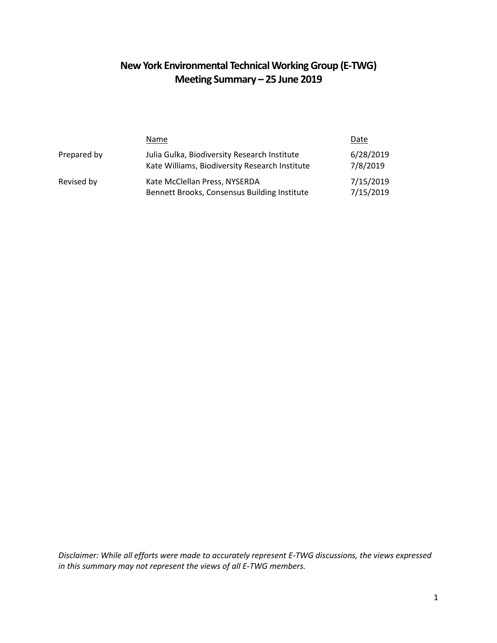# **New York Environmental Technical Working Group (E-TWG) Meeting Summary – 25 June 2019**

|             | Name                                                                                           | Date                   |
|-------------|------------------------------------------------------------------------------------------------|------------------------|
| Prepared by | Julia Gulka, Biodiversity Research Institute<br>Kate Williams, Biodiversity Research Institute | 6/28/2019<br>7/8/2019  |
| Revised by  | Kate McClellan Press, NYSERDA<br>Bennett Brooks, Consensus Building Institute                  | 7/15/2019<br>7/15/2019 |

*Disclaimer: While all efforts were made to accurately represent E-TWG discussions, the views expressed in this summary may not represent the views of all E-TWG members.*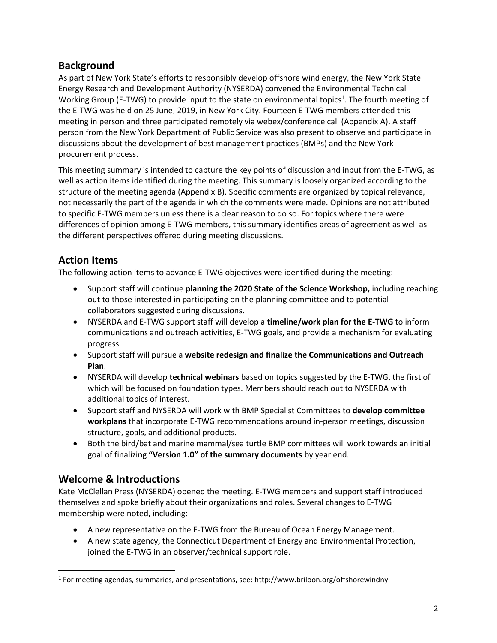## **Background**

As part of New York State's efforts to responsibly develop offshore wind energy, the New York State Energy Research and Development Authority (NYSERDA) convened the Environmental Technical Working Group (E-TWG) to provide input to the state on environmental topics<sup>1</sup>. The fourth meeting of the E-TWG was held on 25 June, 2019, in New York City. Fourteen E-TWG members attended this meeting in person and three participated remotely via webex/conference call (Appendix A). A staff person from the New York Department of Public Service was also present to observe and participate in discussions about the development of best management practices (BMPs) and the New York procurement process.

This meeting summary is intended to capture the key points of discussion and input from the E-TWG, as well as action items identified during the meeting. This summary is loosely organized according to the structure of the meeting agenda (Appendix B). Specific comments are organized by topical relevance, not necessarily the part of the agenda in which the comments were made. Opinions are not attributed to specific E-TWG members unless there is a clear reason to do so. For topics where there were differences of opinion among E-TWG members, this summary identifies areas of agreement as well as the different perspectives offered during meeting discussions.

## **Action Items**

The following action items to advance E-TWG objectives were identified during the meeting:

- Support staff will continue **planning the 2020 State of the Science Workshop,** including reaching out to those interested in participating on the planning committee and to potential collaborators suggested during discussions.
- NYSERDA and E-TWG support staff will develop a **timeline/work plan for the E-TWG** to inform communications and outreach activities, E-TWG goals, and provide a mechanism for evaluating progress.
- Support staff will pursue a **website redesign and finalize the Communications and Outreach Plan**.
- NYSERDA will develop **technical webinars** based on topics suggested by the E-TWG, the first of which will be focused on foundation types. Members should reach out to NYSERDA with additional topics of interest.
- Support staff and NYSERDA will work with BMP Specialist Committees to **develop committee workplans** that incorporate E-TWG recommendations around in-person meetings, discussion structure, goals, and additional products.
- Both the bird/bat and marine mammal/sea turtle BMP committees will work towards an initial goal of finalizing **"Version 1.0" of the summary documents** by year end.

## **Welcome & Introductions**

 $\overline{\phantom{a}}$ 

Kate McClellan Press (NYSERDA) opened the meeting. E-TWG members and support staff introduced themselves and spoke briefly about their organizations and roles. Several changes to E-TWG membership were noted, including:

- A new representative on the E-TWG from the Bureau of Ocean Energy Management.
- A new state agency, the Connecticut Department of Energy and Environmental Protection, joined the E-TWG in an observer/technical support role.

 $^1$  For meeting agendas, summaries, and presentations, see: http://www.briloon.org/offshorewindny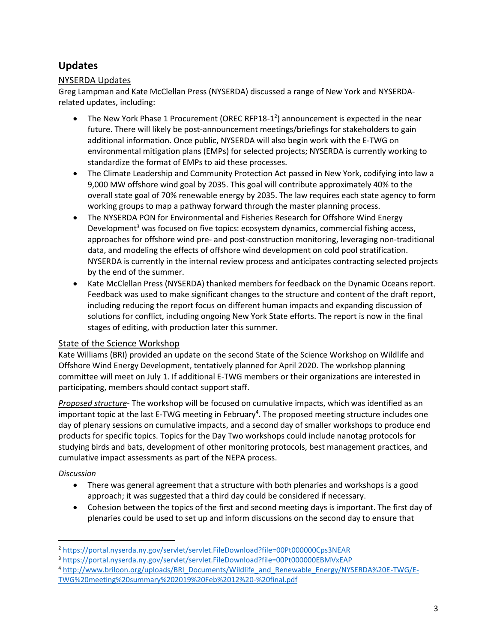## **Updates**

### NYSERDA Updates

Greg Lampman and Kate McClellan Press (NYSERDA) discussed a range of New York and NYSERDArelated updates, including:

- The New York Phase 1 Procurement (OREC RFP18-1<sup>2</sup>) announcement is expected in the near future. There will likely be post-announcement meetings/briefings for stakeholders to gain additional information. Once public, NYSERDA will also begin work with the E-TWG on environmental mitigation plans (EMPs) for selected projects; NYSERDA is currently working to standardize the format of EMPs to aid these processes.
- The Climate Leadership and Community Protection Act passed in New York, codifying into law a 9,000 MW offshore wind goal by 2035. This goal will contribute approximately 40% to the overall state goal of 70% renewable energy by 2035. The law requires each state agency to form working groups to map a pathway forward through the master planning process.
- The NYSERDA PON for Environmental and Fisheries Research for Offshore Wind Energy Development<sup>3</sup> was focused on five topics: ecosystem dynamics, commercial fishing access, approaches for offshore wind pre- and post-construction monitoring, leveraging non-traditional data, and modeling the effects of offshore wind development on cold pool stratification. NYSERDA is currently in the internal review process and anticipates contracting selected projects by the end of the summer.
- Kate McClellan Press (NYSERDA) thanked members for feedback on the Dynamic Oceans report. Feedback was used to make significant changes to the structure and content of the draft report, including reducing the report focus on different human impacts and expanding discussion of solutions for conflict, including ongoing New York State efforts. The report is now in the final stages of editing, with production later this summer.

#### State of the Science Workshop

Kate Williams (BRI) provided an update on the second State of the Science Workshop on Wildlife and Offshore Wind Energy Development, tentatively planned for April 2020. The workshop planning committee will meet on July 1. If additional E-TWG members or their organizations are interested in participating, members should contact support staff.

*Proposed structure-* The workshop will be focused on cumulative impacts, which was identified as an important topic at the last E-TWG meeting in February<sup>4</sup>. The proposed meeting structure includes one day of plenary sessions on cumulative impacts, and a second day of smaller workshops to produce end products for specific topics. Topics for the Day Two workshops could include nanotag protocols for studying birds and bats, development of other monitoring protocols, best management practices, and cumulative impact assessments as part of the NEPA process.

### *Discussion*

l

- There was general agreement that a structure with both plenaries and workshops is a good approach; it was suggested that a third day could be considered if necessary.
- Cohesion between the topics of the first and second meeting days is important. The first day of plenaries could be used to set up and inform discussions on the second day to ensure that

<sup>4</sup> [http://www.briloon.org/uploads/BRI\\_Documents/Wildlife\\_and\\_Renewable\\_Energy/NYSERDA%20E-TWG/E-](http://www.briloon.org/uploads/BRI_Documents/Wildlife_and_Renewable_Energy/NYSERDA%20E-TWG/E-TWG%20meeting%20summary%202019%20Feb%2012%20-%20final.pdf)[TWG%20meeting%20summary%202019%20Feb%2012%20-%20final.pdf](http://www.briloon.org/uploads/BRI_Documents/Wildlife_and_Renewable_Energy/NYSERDA%20E-TWG/E-TWG%20meeting%20summary%202019%20Feb%2012%20-%20final.pdf)

<sup>2</sup> <https://portal.nyserda.ny.gov/servlet/servlet.FileDownload?file=00Pt000000Cps3NEAR>

<sup>3</sup> <https://portal.nyserda.ny.gov/servlet/servlet.FileDownload?file=00Pt000000EBMVxEAP>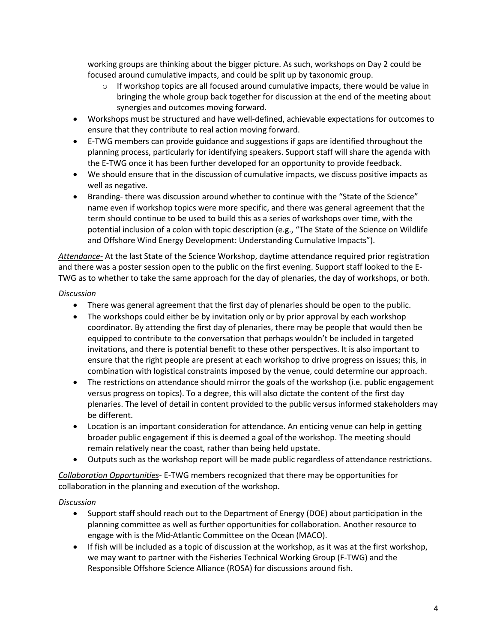working groups are thinking about the bigger picture. As such, workshops on Day 2 could be focused around cumulative impacts, and could be split up by taxonomic group.

- $\circ$  If workshop topics are all focused around cumulative impacts, there would be value in bringing the whole group back together for discussion at the end of the meeting about synergies and outcomes moving forward.
- Workshops must be structured and have well-defined, achievable expectations for outcomes to ensure that they contribute to real action moving forward.
- E-TWG members can provide guidance and suggestions if gaps are identified throughout the planning process, particularly for identifying speakers. Support staff will share the agenda with the E-TWG once it has been further developed for an opportunity to provide feedback.
- We should ensure that in the discussion of cumulative impacts, we discuss positive impacts as well as negative.
- Branding- there was discussion around whether to continue with the "State of the Science" name even if workshop topics were more specific, and there was general agreement that the term should continue to be used to build this as a series of workshops over time, with the potential inclusion of a colon with topic description (e.g., "The State of the Science on Wildlife and Offshore Wind Energy Development: Understanding Cumulative Impacts").

*Attendance-* At the last State of the Science Workshop, daytime attendance required prior registration and there was a poster session open to the public on the first evening. Support staff looked to the E-TWG as to whether to take the same approach for the day of plenaries, the day of workshops, or both.

#### *Discussion*

- There was general agreement that the first day of plenaries should be open to the public.
- The workshops could either be by invitation only or by prior approval by each workshop coordinator. By attending the first day of plenaries, there may be people that would then be equipped to contribute to the conversation that perhaps wouldn't be included in targeted invitations, and there is potential benefit to these other perspectives. It is also important to ensure that the right people are present at each workshop to drive progress on issues; this, in combination with logistical constraints imposed by the venue, could determine our approach.
- The restrictions on attendance should mirror the goals of the workshop (i.e. public engagement versus progress on topics). To a degree, this will also dictate the content of the first day plenaries. The level of detail in content provided to the public versus informed stakeholders may be different.
- Location is an important consideration for attendance. An enticing venue can help in getting broader public engagement if this is deemed a goal of the workshop. The meeting should remain relatively near the coast, rather than being held upstate.
- Outputs such as the workshop report will be made public regardless of attendance restrictions.

*Collaboration Opportunities*- E-TWG members recognized that there may be opportunities for collaboration in the planning and execution of the workshop.

#### *Discussion*

- Support staff should reach out to the Department of Energy (DOE) about participation in the planning committee as well as further opportunities for collaboration. Another resource to engage with is the Mid-Atlantic Committee on the Ocean (MACO).
- If fish will be included as a topic of discussion at the workshop, as it was at the first workshop, we may want to partner with the Fisheries Technical Working Group (F-TWG) and the Responsible Offshore Science Alliance (ROSA) for discussions around fish.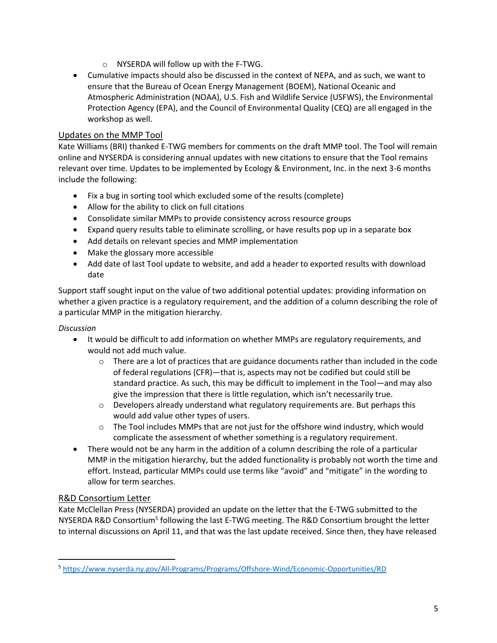- o NYSERDA will follow up with the F-TWG.
- Cumulative impacts should also be discussed in the context of NEPA, and as such, we want to ensure that the Bureau of Ocean Energy Management (BOEM), National Oceanic and Atmospheric Administration (NOAA), U.S. Fish and Wildlife Service (USFWS), the Environmental Protection Agency (EPA), and the Council of Environmental Quality (CEQ) are all engaged in the workshop as well.

#### Updates on the MMP Tool

Kate Williams (BRI) thanked E-TWG members for comments on the draft MMP tool. The Tool will remain online and NYSERDA is considering annual updates with new citations to ensure that the Tool remains relevant over time. Updates to be implemented by Ecology & Environment, Inc. in the next 3-6 months include the following:

- Fix a bug in sorting tool which excluded some of the results (complete)
- Allow for the ability to click on full citations
- Consolidate similar MMPs to provide consistency across resource groups
- Expand query results table to eliminate scrolling, or have results pop up in a separate box
- Add details on relevant species and MMP implementation
- Make the glossary more accessible
- Add date of last Tool update to website, and add a header to exported results with download date

Support staff sought input on the value of two additional potential updates: providing information on whether a given practice is a regulatory requirement, and the addition of a column describing the role of a particular MMP in the mitigation hierarchy.

#### *Discussion*

- It would be difficult to add information on whether MMPs are regulatory requirements, and would not add much value.
	- $\circ$  There are a lot of practices that are guidance documents rather than included in the code of federal regulations (CFR)—that is, aspects may not be codified but could still be standard practice. As such, this may be difficult to implement in the Tool—and may also give the impression that there is little regulation, which isn't necessarily true.
	- $\circ$  Developers already understand what regulatory requirements are. But perhaps this would add value other types of users.
	- $\circ$  The Tool includes MMPs that are not just for the offshore wind industry, which would complicate the assessment of whether something is a regulatory requirement.
- There would not be any harm in the addition of a column describing the role of a particular MMP in the mitigation hierarchy, but the added functionality is probably not worth the time and effort. Instead, particular MMPs could use terms like "avoid" and "mitigate" in the wording to allow for term searches.

#### R&D Consortium Letter

 $\overline{a}$ 

Kate McClellan Press (NYSERDA) provided an update on the letter that the E-TWG submitted to the NYSERDA R&D Consortium<sup>5</sup> following the last E-TWG meeting. The R&D Consortium brought the letter to internal discussions on April 11, and that was the last update received. Since then, they have released

<sup>5</sup> <https://www.nyserda.ny.gov/All-Programs/Programs/Offshore-Wind/Economic-Opportunities/RD>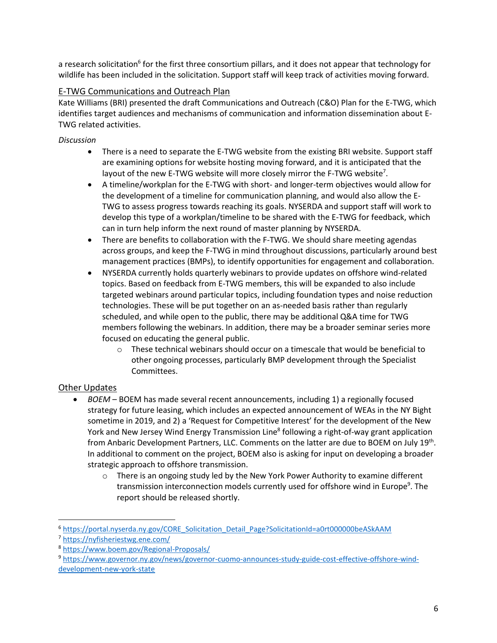a research solicitation<sup>6</sup> for the first three consortium pillars, and it does not appear that technology for wildlife has been included in the solicitation. Support staff will keep track of activities moving forward.

### E-TWG Communications and Outreach Plan

Kate Williams (BRI) presented the draft Communications and Outreach (C&O) Plan for the E-TWG, which identifies target audiences and mechanisms of communication and information dissemination about E-TWG related activities.

*Discussion*

- There is a need to separate the E-TWG website from the existing BRI website. Support staff are examining options for website hosting moving forward, and it is anticipated that the layout of the new E-TWG website will more closely mirror the F-TWG website<sup>7</sup>.
- A timeline/workplan for the E-TWG with short- and longer-term objectives would allow for the development of a timeline for communication planning, and would also allow the E-TWG to assess progress towards reaching its goals. NYSERDA and support staff will work to develop this type of a workplan/timeline to be shared with the E-TWG for feedback, which can in turn help inform the next round of master planning by NYSERDA.
- There are benefits to collaboration with the F-TWG. We should share meeting agendas across groups, and keep the F-TWG in mind throughout discussions, particularly around best management practices (BMPs), to identify opportunities for engagement and collaboration.
- NYSERDA currently holds quarterly webinars to provide updates on offshore wind-related topics. Based on feedback from E-TWG members, this will be expanded to also include targeted webinars around particular topics, including foundation types and noise reduction technologies. These will be put together on an as-needed basis rather than regularly scheduled, and while open to the public, there may be additional Q&A time for TWG members following the webinars. In addition, there may be a broader seminar series more focused on educating the general public.
	- $\circ$  These technical webinars should occur on a timescale that would be beneficial to other ongoing processes, particularly BMP development through the Specialist Committees.

### Other Updates

 $\overline{\phantom{a}}$ 

- *BOEM*  BOEM has made several recent announcements, including 1) a regionally focused strategy for future leasing, which includes an expected announcement of WEAs in the NY Bight sometime in 2019, and 2) a 'Request for Competitive Interest' for the development of the New York and New Jersey Wind Energy Transmission Line<sup>8</sup> following a right-of-way grant application from Anbaric Development Partners, LLC. Comments on the latter are due to BOEM on July 19<sup>th</sup>. In additional to comment on the project, BOEM also is asking for input on developing a broader strategic approach to offshore transmission.
	- $\circ$  There is an ongoing study led by the New York Power Authority to examine different transmission interconnection models currently used for offshore wind in Europe<sup>9</sup>. The report should be released shortly.

<sup>6</sup> [https://portal.nyserda.ny.gov/CORE\\_Solicitation\\_Detail\\_Page?SolicitationId=a0rt000000beASkAAM](https://portal.nyserda.ny.gov/CORE_Solicitation_Detail_Page?SolicitationId=a0rt000000beASkAAM)

<sup>7</sup> <https://nyfisheriestwg.ene.com/>

<sup>8</sup> <https://www.boem.gov/Regional-Proposals/>

<sup>9</sup> [https://www.governor.ny.gov/news/governor-cuomo-announces-study-guide-cost-effective-offshore-wind](https://www.governor.ny.gov/news/governor-cuomo-announces-study-guide-cost-effective-offshore-wind-development-new-york-state)[development-new-york-state](https://www.governor.ny.gov/news/governor-cuomo-announces-study-guide-cost-effective-offshore-wind-development-new-york-state)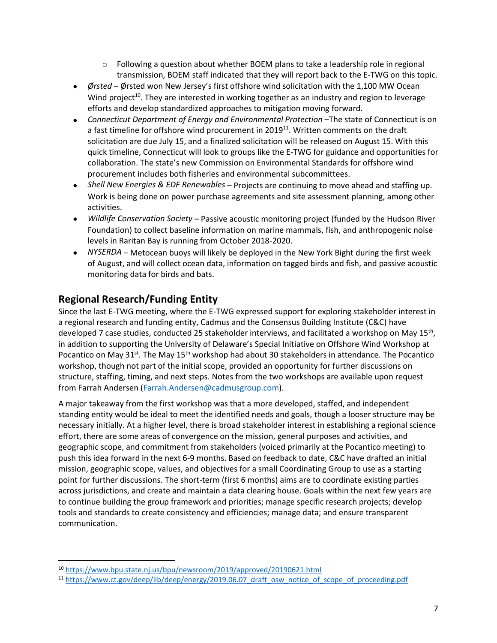- $\circ$  Following a question about whether BOEM plans to take a leadership role in regional transmission, BOEM staff indicated that they will report back to the E-TWG on this topic.
- *Ørsted* Ørsted won New Jersey's first offshore wind solicitation with the 1,100 MW Ocean Wind project<sup>10</sup>. They are interested in working together as an industry and region to leverage efforts and develop standardized approaches to mitigation moving forward.
- *Connecticut Department of Energy and Environmental Protection* –The state of Connecticut is on a fast timeline for offshore wind procurement in 2019<sup>11</sup>. Written comments on the draft solicitation are due July 15, and a finalized solicitation will be released on August 15. With this quick timeline, Connecticut will look to groups like the E-TWG for guidance and opportunities for collaboration. The state's new Commission on Environmental Standards for offshore wind procurement includes both fisheries and environmental subcommittees.
- *Shell New Energies & EDF Renewables* Projects are continuing to move ahead and staffing up. Work is being done on power purchase agreements and site assessment planning, among other activities.
- *Wildlife Conservation Society* Passive acoustic monitoring project (funded by the Hudson River Foundation) to collect baseline information on marine mammals, fish, and anthropogenic noise levels in Raritan Bay is running from October 2018-2020.
- *NYSERDA* Metocean buoys will likely be deployed in the New York Bight during the first week of August, and will collect ocean data, information on tagged birds and fish, and passive acoustic monitoring data for birds and bats.

## **Regional Research/Funding Entity**

Since the last E-TWG meeting, where the E-TWG expressed support for exploring stakeholder interest in a regional research and funding entity, Cadmus and the Consensus Building Institute (C&C) have developed 7 case studies, conducted 25 stakeholder interviews, and facilitated a workshop on May 15<sup>th</sup>, in addition to supporting the University of Delaware's Special Initiative on Offshore Wind Workshop at Pocantico on May 31<sup>st</sup>. The May 15<sup>th</sup> workshop had about 30 stakeholders in attendance. The Pocantico workshop, though not part of the initial scope, provided an opportunity for further discussions on structure, staffing, timing, and next steps. Notes from the two workshops are available upon request from Farrah Andersen [\(Farrah.Andersen@cadmusgroup.com\)](mailto:Farrah.Andersen@cadmusgroup.com).

A major takeaway from the first workshop was that a more developed, staffed, and independent standing entity would be ideal to meet the identified needs and goals, though a looser structure may be necessary initially. At a higher level, there is broad stakeholder interest in establishing a regional science effort, there are some areas of convergence on the mission, general purposes and activities, and geographic scope, and commitment from stakeholders (voiced primarily at the Pocantico meeting) to push this idea forward in the next 6-9 months. Based on feedback to date, C&C have drafted an initial mission, geographic scope, values, and objectives for a small Coordinating Group to use as a starting point for further discussions. The short-term (first 6 months) aims are to coordinate existing parties across jurisdictions, and create and maintain a data clearing house. Goals within the next few years are to continue building the group framework and priorities; manage specific research projects; develop tools and standards to create consistency and efficiencies; manage data; and ensure transparent communication.

 $\overline{\phantom{a}}$ <sup>10</sup> <https://www.bpu.state.nj.us/bpu/newsroom/2019/approved/20190621.html>

<sup>&</sup>lt;sup>11</sup> https://www.ct.gov/deep/lib/deep/energy/2019.06.07 draft\_osw\_notice\_of\_scope\_of\_proceeding.pdf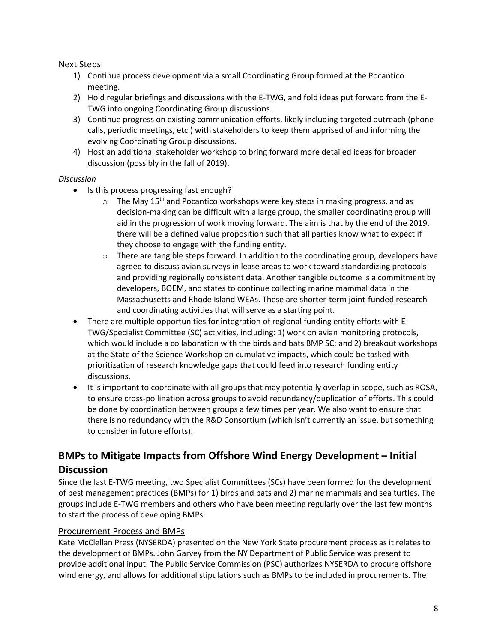#### Next Steps

- 1) Continue process development via a small Coordinating Group formed at the Pocantico meeting.
- 2) Hold regular briefings and discussions with the E-TWG, and fold ideas put forward from the E-TWG into ongoing Coordinating Group discussions.
- 3) Continue progress on existing communication efforts, likely including targeted outreach (phone calls, periodic meetings, etc.) with stakeholders to keep them apprised of and informing the evolving Coordinating Group discussions.
- 4) Host an additional stakeholder workshop to bring forward more detailed ideas for broader discussion (possibly in the fall of 2019).

#### *Discussion*

- Is this process progressing fast enough?
	- $\circ$  The May 15<sup>th</sup> and Pocantico workshops were key steps in making progress, and as decision-making can be difficult with a large group, the smaller coordinating group will aid in the progression of work moving forward. The aim is that by the end of the 2019, there will be a defined value proposition such that all parties know what to expect if they choose to engage with the funding entity.
	- $\circ$  There are tangible steps forward. In addition to the coordinating group, developers have agreed to discuss avian surveys in lease areas to work toward standardizing protocols and providing regionally consistent data. Another tangible outcome is a commitment by developers, BOEM, and states to continue collecting marine mammal data in the Massachusetts and Rhode Island WEAs. These are shorter-term joint-funded research and coordinating activities that will serve as a starting point.
- There are multiple opportunities for integration of regional funding entity efforts with E-TWG/Specialist Committee (SC) activities, including: 1) work on avian monitoring protocols, which would include a collaboration with the birds and bats BMP SC; and 2) breakout workshops at the State of the Science Workshop on cumulative impacts, which could be tasked with prioritization of research knowledge gaps that could feed into research funding entity discussions.
- It is important to coordinate with all groups that may potentially overlap in scope, such as ROSA, to ensure cross-pollination across groups to avoid redundancy/duplication of efforts. This could be done by coordination between groups a few times per year. We also want to ensure that there is no redundancy with the R&D Consortium (which isn't currently an issue, but something to consider in future efforts).

# **BMPs to Mitigate Impacts from Offshore Wind Energy Development – Initial Discussion**

Since the last E-TWG meeting, two Specialist Committees (SCs) have been formed for the development of best management practices (BMPs) for 1) birds and bats and 2) marine mammals and sea turtles. The groups include E-TWG members and others who have been meeting regularly over the last few months to start the process of developing BMPs.

#### Procurement Process and BMPs

Kate McClellan Press (NYSERDA) presented on the New York State procurement process as it relates to the development of BMPs. John Garvey from the NY Department of Public Service was present to provide additional input. The Public Service Commission (PSC) authorizes NYSERDA to procure offshore wind energy, and allows for additional stipulations such as BMPs to be included in procurements. The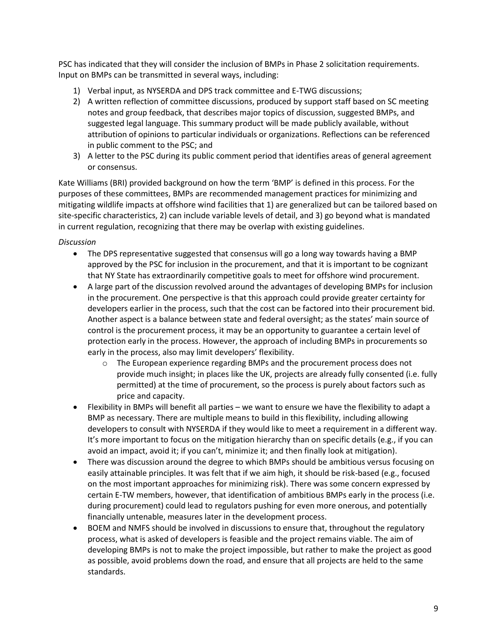PSC has indicated that they will consider the inclusion of BMPs in Phase 2 solicitation requirements. Input on BMPs can be transmitted in several ways, including:

- 1) Verbal input, as NYSERDA and DPS track committee and E-TWG discussions;
- 2) A written reflection of committee discussions, produced by support staff based on SC meeting notes and group feedback, that describes major topics of discussion, suggested BMPs, and suggested legal language. This summary product will be made publicly available, without attribution of opinions to particular individuals or organizations. Reflections can be referenced in public comment to the PSC; and
- 3) A letter to the PSC during its public comment period that identifies areas of general agreement or consensus.

Kate Williams (BRI) provided background on how the term 'BMP' is defined in this process. For the purposes of these committees, BMPs are recommended management practices for minimizing and mitigating wildlife impacts at offshore wind facilities that 1) are generalized but can be tailored based on site-specific characteristics, 2) can include variable levels of detail, and 3) go beyond what is mandated in current regulation, recognizing that there may be overlap with existing guidelines.

*Discussion*

- The DPS representative suggested that consensus will go a long way towards having a BMP approved by the PSC for inclusion in the procurement, and that it is important to be cognizant that NY State has extraordinarily competitive goals to meet for offshore wind procurement.
- A large part of the discussion revolved around the advantages of developing BMPs for inclusion in the procurement. One perspective is that this approach could provide greater certainty for developers earlier in the process, such that the cost can be factored into their procurement bid. Another aspect is a balance between state and federal oversight; as the states' main source of control is the procurement process, it may be an opportunity to guarantee a certain level of protection early in the process. However, the approach of including BMPs in procurements so early in the process, also may limit developers' flexibility.
	- o The European experience regarding BMPs and the procurement process does not provide much insight; in places like the UK, projects are already fully consented (i.e. fully permitted) at the time of procurement, so the process is purely about factors such as price and capacity.
- Flexibility in BMPs will benefit all parties we want to ensure we have the flexibility to adapt a BMP as necessary. There are multiple means to build in this flexibility, including allowing developers to consult with NYSERDA if they would like to meet a requirement in a different way. It's more important to focus on the mitigation hierarchy than on specific details (e.g., if you can avoid an impact, avoid it; if you can't, minimize it; and then finally look at mitigation).
- There was discussion around the degree to which BMPs should be ambitious versus focusing on easily attainable principles. It was felt that if we aim high, it should be risk-based (e.g., focused on the most important approaches for minimizing risk). There was some concern expressed by certain E-TW members, however, that identification of ambitious BMPs early in the process (i.e. during procurement) could lead to regulators pushing for even more onerous, and potentially financially untenable, measures later in the development process.
- BOEM and NMFS should be involved in discussions to ensure that, throughout the regulatory process, what is asked of developers is feasible and the project remains viable. The aim of developing BMPs is not to make the project impossible, but rather to make the project as good as possible, avoid problems down the road, and ensure that all projects are held to the same standards.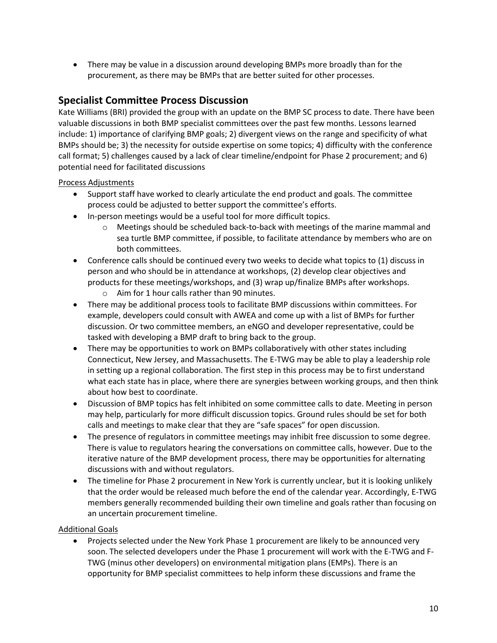There may be value in a discussion around developing BMPs more broadly than for the procurement, as there may be BMPs that are better suited for other processes.

## **Specialist Committee Process Discussion**

Kate Williams (BRI) provided the group with an update on the BMP SC process to date. There have been valuable discussions in both BMP specialist committees over the past few months. Lessons learned include: 1) importance of clarifying BMP goals; 2) divergent views on the range and specificity of what BMPs should be; 3) the necessity for outside expertise on some topics; 4) difficulty with the conference call format; 5) challenges caused by a lack of clear timeline/endpoint for Phase 2 procurement; and 6) potential need for facilitated discussions

Process Adjustments

- Support staff have worked to clearly articulate the end product and goals. The committee process could be adjusted to better support the committee's efforts.
- In-person meetings would be a useful tool for more difficult topics.
	- o Meetings should be scheduled back-to-back with meetings of the marine mammal and sea turtle BMP committee, if possible, to facilitate attendance by members who are on both committees.
- Conference calls should be continued every two weeks to decide what topics to (1) discuss in person and who should be in attendance at workshops, (2) develop clear objectives and products for these meetings/workshops, and (3) wrap up/finalize BMPs after workshops.
	- o Aim for 1 hour calls rather than 90 minutes.
- There may be additional process tools to facilitate BMP discussions within committees. For example, developers could consult with AWEA and come up with a list of BMPs for further discussion. Or two committee members, an eNGO and developer representative, could be tasked with developing a BMP draft to bring back to the group.
- There may be opportunities to work on BMPs collaboratively with other states including Connecticut, New Jersey, and Massachusetts. The E-TWG may be able to play a leadership role in setting up a regional collaboration. The first step in this process may be to first understand what each state has in place, where there are synergies between working groups, and then think about how best to coordinate.
- Discussion of BMP topics has felt inhibited on some committee calls to date. Meeting in person may help, particularly for more difficult discussion topics. Ground rules should be set for both calls and meetings to make clear that they are "safe spaces" for open discussion.
- The presence of regulators in committee meetings may inhibit free discussion to some degree. There is value to regulators hearing the conversations on committee calls, however. Due to the iterative nature of the BMP development process, there may be opportunities for alternating discussions with and without regulators.
- The timeline for Phase 2 procurement in New York is currently unclear, but it is looking unlikely that the order would be released much before the end of the calendar year. Accordingly, E-TWG members generally recommended building their own timeline and goals rather than focusing on an uncertain procurement timeline.

#### Additional Goals

 Projects selected under the New York Phase 1 procurement are likely to be announced very soon. The selected developers under the Phase 1 procurement will work with the E-TWG and F-TWG (minus other developers) on environmental mitigation plans (EMPs). There is an opportunity for BMP specialist committees to help inform these discussions and frame the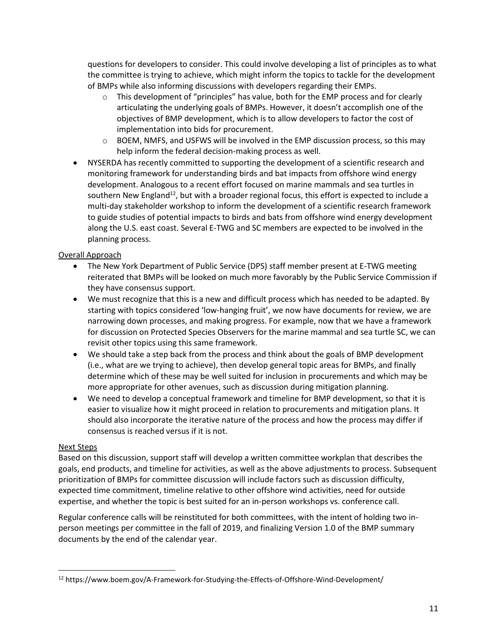questions for developers to consider. This could involve developing a list of principles as to what the committee is trying to achieve, which might inform the topics to tackle for the development of BMPs while also informing discussions with developers regarding their EMPs.

- $\circ$  This development of "principles" has value, both for the EMP process and for clearly articulating the underlying goals of BMPs. However, it doesn't accomplish one of the objectives of BMP development, which is to allow developers to factor the cost of implementation into bids for procurement.
- $\circ$  BOEM, NMFS, and USFWS will be involved in the EMP discussion process, so this may help inform the federal decision-making process as well.
- NYSERDA has recently committed to supporting the development of a scientific research and monitoring framework for understanding birds and bat impacts from offshore wind energy development. Analogous to a recent effort focused on marine mammals and sea turtles in southern New England<sup>12</sup>, but with a broader regional focus, this effort is expected to include a multi-day stakeholder workshop to inform the development of a scientific research framework to guide studies of potential impacts to birds and bats from offshore wind energy development along the U.S. east coast. Several E-TWG and SC members are expected to be involved in the planning process.

#### Overall Approach

- The New York Department of Public Service (DPS) staff member present at E-TWG meeting reiterated that BMPs will be looked on much more favorably by the Public Service Commission if they have consensus support.
- We must recognize that this is a new and difficult process which has needed to be adapted. By starting with topics considered 'low-hanging fruit', we now have documents for review, we are narrowing down processes, and making progress. For example, now that we have a framework for discussion on Protected Species Observers for the marine mammal and sea turtle SC, we can revisit other topics using this same framework.
- We should take a step back from the process and think about the goals of BMP development (i.e., what are we trying to achieve), then develop general topic areas for BMPs, and finally determine which of these may be well suited for inclusion in procurements and which may be more appropriate for other avenues, such as discussion during mitigation planning.
- We need to develop a conceptual framework and timeline for BMP development, so that it is easier to visualize how it might proceed in relation to procurements and mitigation plans. It should also incorporate the iterative nature of the process and how the process may differ if consensus is reached versus if it is not.

#### Next Steps

 $\overline{\phantom{a}}$ 

Based on this discussion, support staff will develop a written committee workplan that describes the goals, end products, and timeline for activities, as well as the above adjustments to process. Subsequent prioritization of BMPs for committee discussion will include factors such as discussion difficulty, expected time commitment, timeline relative to other offshore wind activities, need for outside expertise, and whether the topic is best suited for an in-person workshops vs. conference call.

Regular conference calls will be reinstituted for both committees, with the intent of holding two inperson meetings per committee in the fall of 2019, and finalizing Version 1.0 of the BMP summary documents by the end of the calendar year.

<sup>12</sup> https://www.boem.gov/A-Framework-for-Studying-the-Effects-of-Offshore-Wind-Development/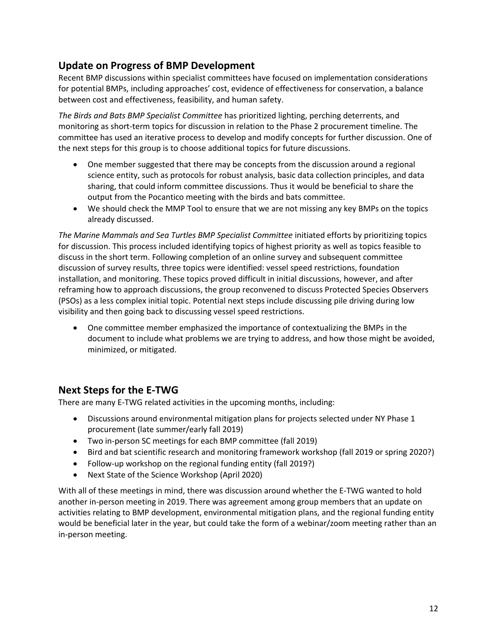## **Update on Progress of BMP Development**

Recent BMP discussions within specialist committees have focused on implementation considerations for potential BMPs, including approaches' cost, evidence of effectiveness for conservation, a balance between cost and effectiveness, feasibility, and human safety.

*The Birds and Bats BMP Specialist Committee* has prioritized lighting, perching deterrents, and monitoring as short-term topics for discussion in relation to the Phase 2 procurement timeline. The committee has used an iterative process to develop and modify concepts for further discussion. One of the next steps for this group is to choose additional topics for future discussions.

- One member suggested that there may be concepts from the discussion around a regional science entity, such as protocols for robust analysis, basic data collection principles, and data sharing, that could inform committee discussions. Thus it would be beneficial to share the output from the Pocantico meeting with the birds and bats committee.
- We should check the MMP Tool to ensure that we are not missing any key BMPs on the topics already discussed.

*The Marine Mammals and Sea Turtles BMP Specialist Committee* initiated efforts by prioritizing topics for discussion. This process included identifying topics of highest priority as well as topics feasible to discuss in the short term. Following completion of an online survey and subsequent committee discussion of survey results, three topics were identified: vessel speed restrictions, foundation installation, and monitoring. These topics proved difficult in initial discussions, however, and after reframing how to approach discussions, the group reconvened to discuss Protected Species Observers (PSOs) as a less complex initial topic. Potential next steps include discussing pile driving during low visibility and then going back to discussing vessel speed restrictions.

 One committee member emphasized the importance of contextualizing the BMPs in the document to include what problems we are trying to address, and how those might be avoided, minimized, or mitigated.

## **Next Steps for the E-TWG**

There are many E-TWG related activities in the upcoming months, including:

- Discussions around environmental mitigation plans for projects selected under NY Phase 1 procurement (late summer/early fall 2019)
- Two in-person SC meetings for each BMP committee (fall 2019)
- Bird and bat scientific research and monitoring framework workshop (fall 2019 or spring 2020?)
- Follow-up workshop on the regional funding entity (fall 2019?)
- Next State of the Science Workshop (April 2020)

With all of these meetings in mind, there was discussion around whether the E-TWG wanted to hold another in-person meeting in 2019. There was agreement among group members that an update on activities relating to BMP development, environmental mitigation plans, and the regional funding entity would be beneficial later in the year, but could take the form of a webinar/zoom meeting rather than an in-person meeting.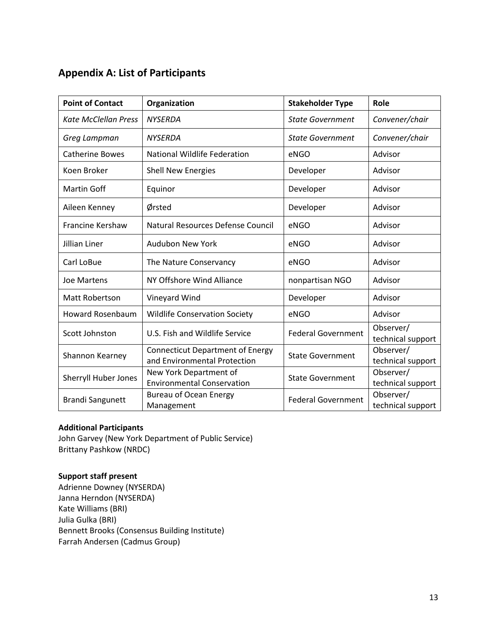# **Appendix A: List of Participants**

| <b>Point of Contact</b>     | Organization                                                            | <b>Stakeholder Type</b>   | <b>Role</b>                    |
|-----------------------------|-------------------------------------------------------------------------|---------------------------|--------------------------------|
| <b>Kate McClellan Press</b> | <b>NYSERDA</b>                                                          | <b>State Government</b>   | Convener/chair                 |
| Greg Lampman                | <b>NYSERDA</b>                                                          | <b>State Government</b>   | Convener/chair                 |
| <b>Catherine Bowes</b>      | <b>National Wildlife Federation</b>                                     | eNGO                      | Advisor                        |
| Koen Broker                 | <b>Shell New Energies</b>                                               | Developer                 | Advisor                        |
| <b>Martin Goff</b>          | Equinor                                                                 | Developer                 | Advisor                        |
| Aileen Kenney               | Ørsted                                                                  | Developer                 | Advisor                        |
| <b>Francine Kershaw</b>     | Natural Resources Defense Council                                       | eNGO                      | Advisor                        |
| Jillian Liner               | Audubon New York                                                        | eNGO                      | Advisor                        |
| Carl LoBue                  | The Nature Conservancy                                                  | eNGO                      | Advisor                        |
| Joe Martens                 | NY Offshore Wind Alliance                                               | nonpartisan NGO           | Advisor                        |
| Matt Robertson              | Vineyard Wind                                                           | Developer                 | Advisor                        |
| <b>Howard Rosenbaum</b>     | <b>Wildlife Conservation Society</b>                                    | eNGO                      | Advisor                        |
| Scott Johnston              | U.S. Fish and Wildlife Service                                          | <b>Federal Government</b> | Observer/<br>technical support |
| Shannon Kearney             | <b>Connecticut Department of Energy</b><br>and Environmental Protection | <b>State Government</b>   | Observer/<br>technical support |
| <b>Sherryll Huber Jones</b> | New York Department of<br><b>Environmental Conservation</b>             | <b>State Government</b>   | Observer/<br>technical support |
| <b>Brandi Sangunett</b>     | <b>Bureau of Ocean Energy</b><br>Management                             | <b>Federal Government</b> | Observer/<br>technical support |

#### **Additional Participants**

John Garvey (New York Department of Public Service) Brittany Pashkow (NRDC)

#### **Support staff present**

Adrienne Downey (NYSERDA) Janna Herndon (NYSERDA) Kate Williams (BRI) Julia Gulka (BRI) Bennett Brooks (Consensus Building Institute) Farrah Andersen (Cadmus Group)